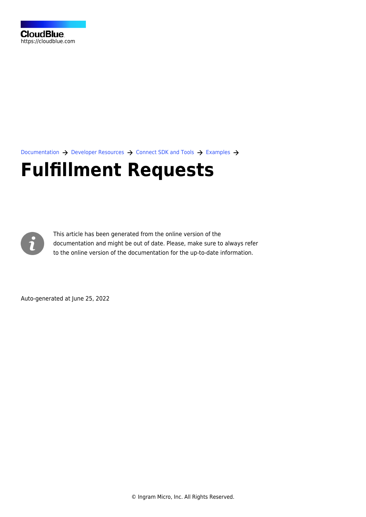[Documentation](https://connect.cloudblue.com/documentation)  $\rightarrow$  [Developer Resources](https://connect.cloudblue.com/community/developers/)  $\rightarrow$  [Connect SDK and Tools](https://connect.cloudblue.com/community/developers/sdk/)  $\rightarrow$  [Examples](https://connect.cloudblue.com/community/developers/sdk/vendor-scenario-example/)  $\rightarrow$ 

# **[Fulfillment Requests](https://connect.cloudblue.com/community/developers/sdk/vendor-scenario-example/manage-asset/)**



This article has been generated from the online version of the documentation and might be out of date. Please, make sure to always refer to the online version of the documentation for the up-to-date information.

Auto-generated at June 25, 2022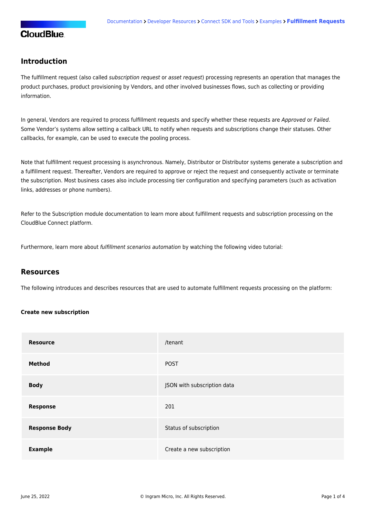#### **Introduction**

The fulfillment request (also called subscription request or asset request) processing represents an operation that manages the product purchases, product provisioning by Vendors, and other involved businesses flows, such as collecting or providing information.

In general, Vendors are required to process fulfillment requests and specify whether these requests are Approved or Failed. Some Vendor's systems allow setting a callback URL to notify when requests and subscriptions change their statuses. Other callbacks, for example, can be used to execute the pooling process.

Note that fulfillment request processing is asynchronous. Namely, Distributor or Distributor systems generate a subscription and a fulfillment request. Thereafter, Vendors are required to approve or reject the request and consequently activate or terminate the subscription. Most business cases also include processing tier configuration and specifying parameters (such as activation links, addresses or phone numbers).

Refer to the [Subscription](https://connect.cloudblue.com/community/modules/subscriptions/fulfillment-requests/) module documentation to learn more about fulfillment requests and subscription processing on the CloudBlue Connect platform.

Furthermore, learn more about fulfillment scenarios automation by watching the following video tutorial:

#### **Resources**

The following introduces and describes resources that are used to automate fulfillment requests processing on the platform:

#### **Create new subscription**

| <b>Resource</b>      | /tenant                     |
|----------------------|-----------------------------|
| Method               | <b>POST</b>                 |
| <b>Body</b>          | JSON with subscription data |
| <b>Response</b>      | 201                         |
| <b>Response Body</b> | Status of subscription      |
| <b>Example</b>       | Create a new subscription   |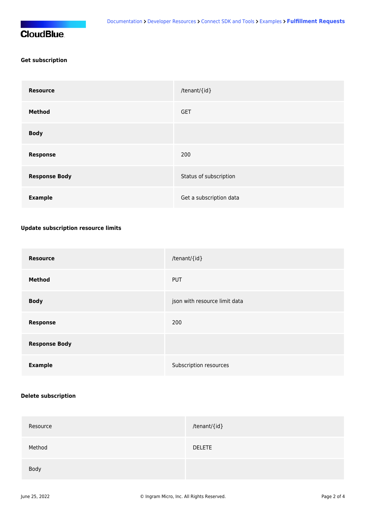## **CloudBlue**

#### **Get subscription**

| <b>Resource</b>      | /tenant/{id}            |
|----------------------|-------------------------|
| <b>Method</b>        | <b>GET</b>              |
| <b>Body</b>          |                         |
| <b>Response</b>      | 200                     |
| <b>Response Body</b> | Status of subscription  |
| <b>Example</b>       | Get a subscription data |

#### **Update subscription resource limits**

| <b>Resource</b>      | /tenant/{id}                  |
|----------------------|-------------------------------|
| <b>Method</b>        | <b>PUT</b>                    |
| <b>Body</b>          | json with resource limit data |
| <b>Response</b>      | 200                           |
| <b>Response Body</b> |                               |
| <b>Example</b>       | Subscription resources        |

#### **Delete subscription**

| Resource | /tenant/{id}  |
|----------|---------------|
| Method   | <b>DELETE</b> |
| Body     |               |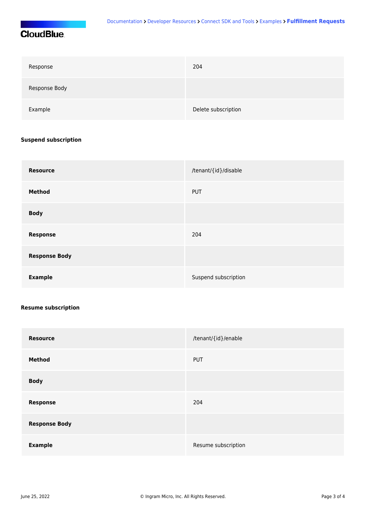## **CloudBlue**

| Response      | 204                 |
|---------------|---------------------|
| Response Body |                     |
| Example       | Delete subscription |

#### **Suspend subscription**

| <b>Resource</b>      | /tenant/{id}/disable |
|----------------------|----------------------|
| <b>Method</b>        | <b>PUT</b>           |
| <b>Body</b>          |                      |
| <b>Response</b>      | 204                  |
| <b>Response Body</b> |                      |
| <b>Example</b>       | Suspend subscription |

#### **Resume subscription**

| <b>Resource</b>      | /tenant/{id}/enable |
|----------------------|---------------------|
| <b>Method</b>        | <b>PUT</b>          |
| <b>Body</b>          |                     |
| <b>Response</b>      | 204                 |
| <b>Response Body</b> |                     |
| <b>Example</b>       | Resume subscription |